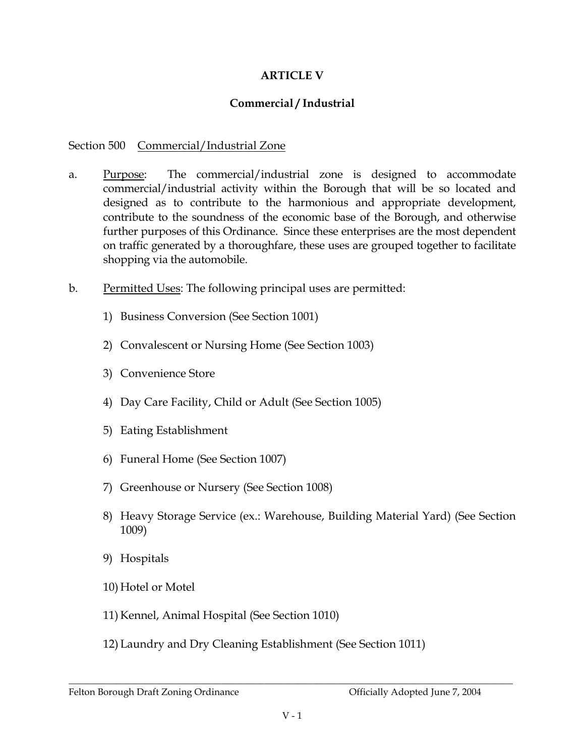## **ARTICLE V**

## Commercial / Industrial

## Section 500 Commercial/Industrial Zone

- The commercial/industrial zone is designed to accommodate a. Purpose: commercial/industrial activity within the Borough that will be so located and designed as to contribute to the harmonious and appropriate development, contribute to the soundness of the economic base of the Borough, and otherwise further purposes of this Ordinance. Since these enterprises are the most dependent on traffic generated by a thoroughfare, these uses are grouped together to facilitate shopping via the automobile.
- $\mathbf{b}$ . Permitted Uses: The following principal uses are permitted:
	- 1) Business Conversion (See Section 1001)
	- 2) Convalescent or Nursing Home (See Section 1003)
	- 3) Convenience Store
	- 4) Day Care Facility, Child or Adult (See Section 1005)
	- 5) Eating Establishment
	- 6) Funeral Home (See Section 1007)
	- 7) Greenhouse or Nursery (See Section 1008)
	- 8) Heavy Storage Service (ex.: Warehouse, Building Material Yard) (See Section 1009)
	- 9) Hospitals
	- 10) Hotel or Motel
	- 11) Kennel, Animal Hospital (See Section 1010)
	- 12) Laundry and Dry Cleaning Establishment (See Section 1011)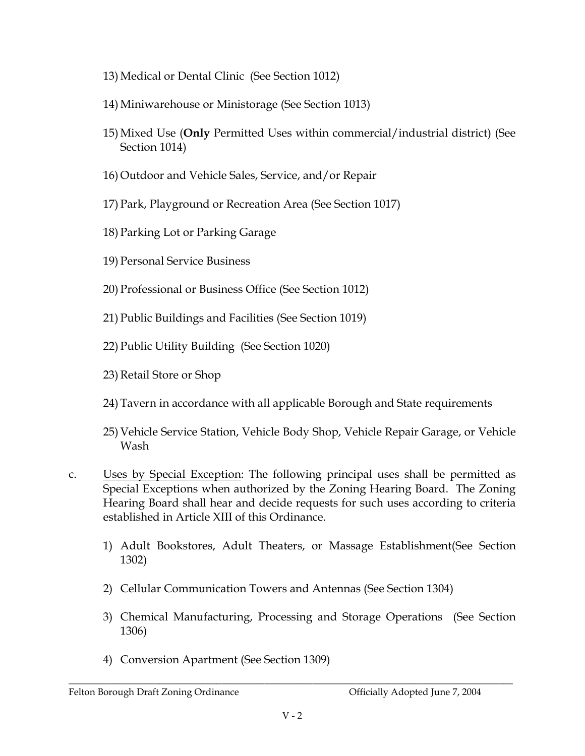- 13) Medical or Dental Clinic (See Section 1012)
- 14) Miniwarehouse or Ministorage (See Section 1013)
- 15) Mixed Use (Only Permitted Uses within commercial/industrial district) (See Section 1014)
- 16) Outdoor and Vehicle Sales, Service, and/or Repair
- 17) Park, Playground or Recreation Area (See Section 1017)
- 18) Parking Lot or Parking Garage
- 19) Personal Service Business
- 20) Professional or Business Office (See Section 1012)
- 21) Public Buildings and Facilities (See Section 1019)
- 22) Public Utility Building (See Section 1020)
- 23) Retail Store or Shop
- 24) Tavern in accordance with all applicable Borough and State requirements
- 25) Vehicle Service Station, Vehicle Body Shop, Vehicle Repair Garage, or Vehicle Wash
- Uses by Special Exception: The following principal uses shall be permitted as  $C<sub>1</sub>$ Special Exceptions when authorized by the Zoning Hearing Board. The Zoning Hearing Board shall hear and decide requests for such uses according to criteria established in Article XIII of this Ordinance.
	- 1) Adult Bookstores, Adult Theaters, or Massage Establishment(See Section  $1302)$
	- 2) Cellular Communication Towers and Antennas (See Section 1304)
	- 3) Chemical Manufacturing, Processing and Storage Operations (See Section 1306)
	- 4) Conversion Apartment (See Section 1309)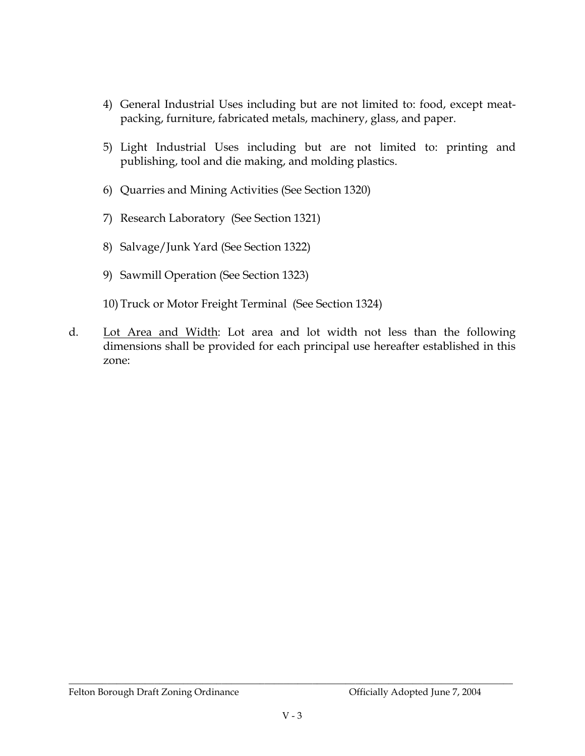- 4) General Industrial Uses including but are not limited to: food, except meatpacking, furniture, fabricated metals, machinery, glass, and paper.
- 5) Light Industrial Uses including but are not limited to: printing and publishing, tool and die making, and molding plastics.
- 6) Quarries and Mining Activities (See Section 1320)
- 7) Research Laboratory (See Section 1321)
- 8) Salvage/Junk Yard (See Section 1322)
- 9) Sawmill Operation (See Section 1323)
- 10) Truck or Motor Freight Terminal (See Section 1324)
- $d_{\cdot}$ Lot Area and Width: Lot area and lot width not less than the following dimensions shall be provided for each principal use hereafter established in this zone: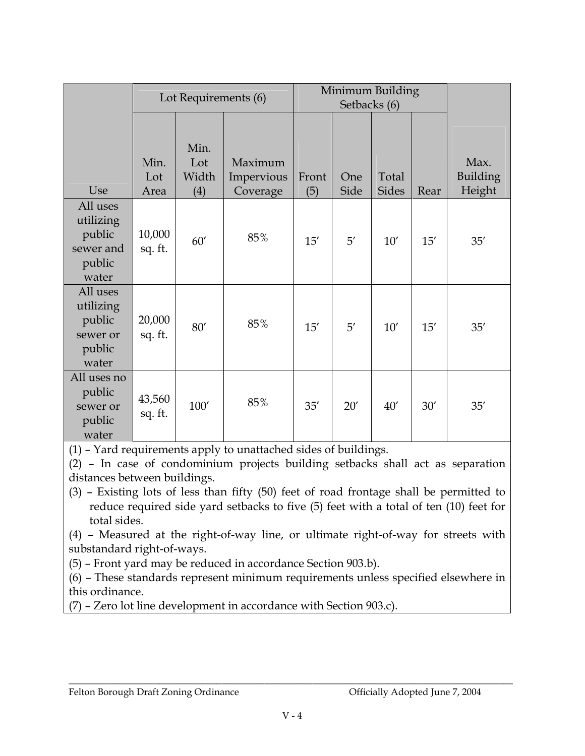|                                                                 | Lot Requirements (6) |                             |                                   | Minimum Building<br>Setbacks (6) |              |                       |      |                            |
|-----------------------------------------------------------------|----------------------|-----------------------------|-----------------------------------|----------------------------------|--------------|-----------------------|------|----------------------------|
| Use                                                             | Min.<br>Lot<br>Area  | Min.<br>Lot<br>Width<br>(4) | Maximum<br>Impervious<br>Coverage | Front<br>(5)                     | One<br>Side  | Total<br><b>Sides</b> | Rear | Max.<br>Building<br>Height |
| All uses<br>utilizing<br>public<br>sewer and<br>public<br>water | 10,000<br>sq. ft.    | 60'                         | 85%                               | 15'                              | $5^{\prime}$ | 10'                   | 15'  | 35'                        |
| All uses<br>utilizing<br>public<br>sewer or<br>public<br>water  | 20,000<br>sq. ft.    | $80'$                       | 85%                               | 15'                              | 5'           | 10'                   | 15'  | 35'                        |
| All uses no<br>public<br>sewer or<br>public<br>water            | 43,560<br>sq. ft.    | $100'$                      | 85%                               | 35'                              | 20'          | 40'                   | 30'  | 35'                        |

(1) – Yard requirements apply to unattached sides of buildings.

 $(2)$  – In case of condominium projects building setbacks shall act as separation distances between buildings.

 $(3)$  – Existing lots of less than fifty  $(50)$  feet of road frontage shall be permitted to reduce required side yard setbacks to five (5) feet with a total of ten (10) feet for total sides.

 $(4)$  – Measured at the right-of-way line, or ultimate right-of-way for streets with substandard right-of-ways.

(5) – Front yard may be reduced in accordance Section 903.b).

 $(6)$  – These standards represent minimum requirements unless specified elsewhere in this ordinance.

(7) – Zero lot line development in accordance with Section 903.c).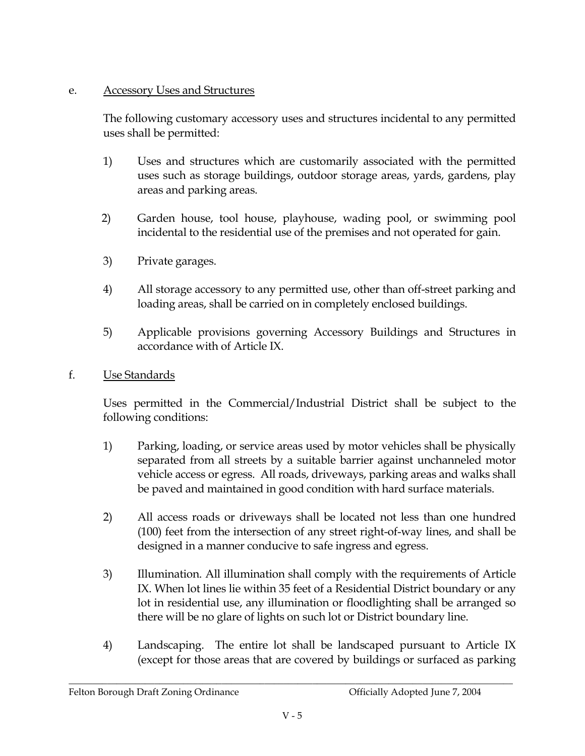## **Accessory Uses and Structures** e.

The following customary accessory uses and structures incidental to any permitted uses shall be permitted:

- 1) Uses and structures which are customarily associated with the permitted uses such as storage buildings, outdoor storage areas, yards, gardens, play areas and parking areas.
- $2)$ Garden house, tool house, playhouse, wading pool, or swimming pool incidental to the residential use of the premises and not operated for gain.
- 3) Private garages.
- 4) All storage accessory to any permitted use, other than off-street parking and loading areas, shall be carried on in completely enclosed buildings.
- Applicable provisions governing Accessory Buildings and Structures in  $5)$ accordance with of Article IX.
- $f_{\perp}$ Use Standards

Uses permitted in the Commercial/Industrial District shall be subject to the following conditions:

- $1)$ Parking, loading, or service areas used by motor vehicles shall be physically separated from all streets by a suitable barrier against unchanneled motor vehicle access or egress. All roads, driveways, parking areas and walks shall be paved and maintained in good condition with hard surface materials.
- 2) All access roads or driveways shall be located not less than one hundred (100) feet from the intersection of any street right-of-way lines, and shall be designed in a manner conducive to safe ingress and egress.
- 3) Illumination. All illumination shall comply with the requirements of Article IX. When lot lines lie within 35 feet of a Residential District boundary or any lot in residential use, any illumination or floodlighting shall be arranged so there will be no glare of lights on such lot or District boundary line.
- 4) Landscaping. The entire lot shall be landscaped pursuant to Article IX (except for those areas that are covered by buildings or surfaced as parking